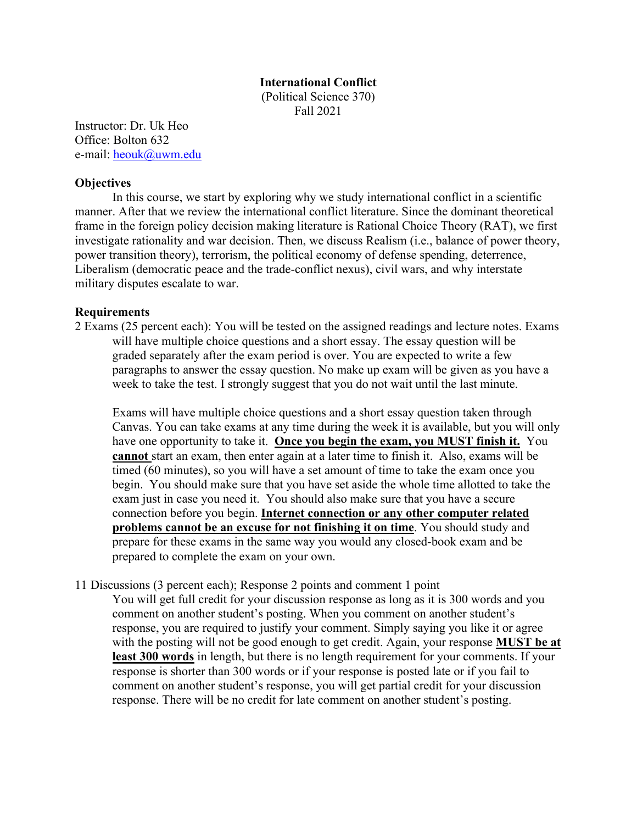#### **International Conflict**

(Political Science 370) Fall 2021

Instructor: Dr. Uk Heo Office: Bolton 632 e-mail: heouk@uwm.edu

## **Objectives**

In this course, we start by exploring why we study international conflict in a scientific manner. After that we review the international conflict literature. Since the dominant theoretical frame in the foreign policy decision making literature is Rational Choice Theory (RAT), we first investigate rationality and war decision. Then, we discuss Realism (i.e., balance of power theory, power transition theory), terrorism, the political economy of defense spending, deterrence, Liberalism (democratic peace and the trade-conflict nexus), civil wars, and why interstate military disputes escalate to war.

## **Requirements**

2 Exams (25 percent each): You will be tested on the assigned readings and lecture notes. Exams will have multiple choice questions and a short essay. The essay question will be graded separately after the exam period is over. You are expected to write a few paragraphs to answer the essay question. No make up exam will be given as you have a week to take the test. I strongly suggest that you do not wait until the last minute.

Exams will have multiple choice questions and a short essay question taken through Canvas. You can take exams at any time during the week it is available, but you will only have one opportunity to take it. **Once you begin the exam, you MUST finish it.** You **cannot** start an exam, then enter again at a later time to finish it. Also, exams will be timed (60 minutes), so you will have a set amount of time to take the exam once you begin. You should make sure that you have set aside the whole time allotted to take the exam just in case you need it. You should also make sure that you have a secure connection before you begin. **Internet connection or any other computer related problems cannot be an excuse for not finishing it on time**. You should study and prepare for these exams in the same way you would any closed-book exam and be prepared to complete the exam on your own.

11 Discussions (3 percent each); Response 2 points and comment 1 point

You will get full credit for your discussion response as long as it is 300 words and you comment on another student's posting. When you comment on another student's response, you are required to justify your comment. Simply saying you like it or agree with the posting will not be good enough to get credit. Again, your response **MUST be at least 300 words** in length, but there is no length requirement for your comments. If your response is shorter than 300 words or if your response is posted late or if you fail to comment on another student's response, you will get partial credit for your discussion response. There will be no credit for late comment on another student's posting.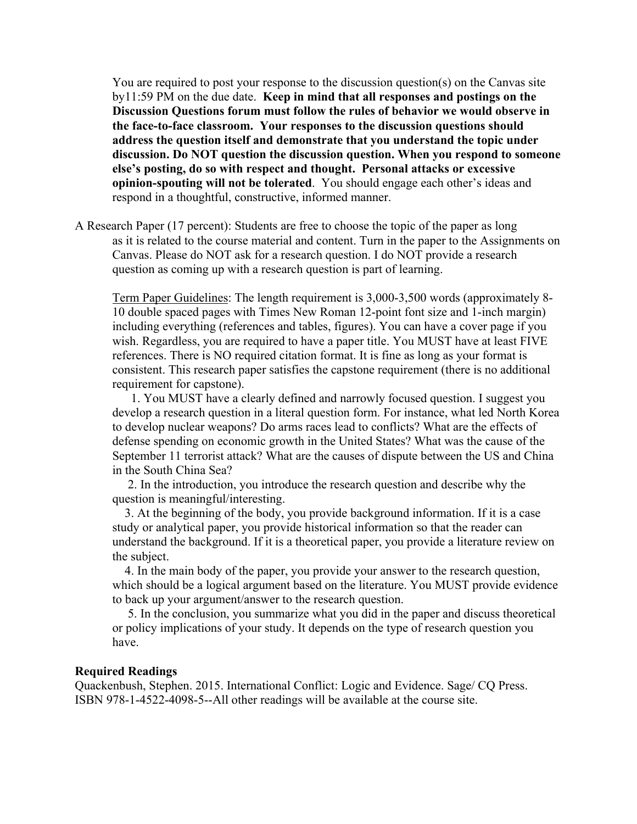You are required to post your response to the discussion question(s) on the Canvas site by11:59 PM on the due date. **Keep in mind that all responses and postings on the Discussion Questions forum must follow the rules of behavior we would observe in the face-to-face classroom. Your responses to the discussion questions should address the question itself and demonstrate that you understand the topic under discussion. Do NOT question the discussion question. When you respond to someone else's posting, do so with respect and thought. Personal attacks or excessive opinion-spouting will not be tolerated**. You should engage each other's ideas and respond in a thoughtful, constructive, informed manner.

A Research Paper (17 percent): Students are free to choose the topic of the paper as long as it is related to the course material and content. Turn in the paper to the Assignments on Canvas. Please do NOT ask for a research question. I do NOT provide a research question as coming up with a research question is part of learning.

Term Paper Guidelines: The length requirement is 3,000-3,500 words (approximately 8- 10 double spaced pages with Times New Roman 12-point font size and 1-inch margin) including everything (references and tables, figures). You can have a cover page if you wish. Regardless, you are required to have a paper title. You MUST have at least FIVE references. There is NO required citation format. It is fine as long as your format is consistent. This research paper satisfies the capstone requirement (there is no additional requirement for capstone).

 1. You MUST have a clearly defined and narrowly focused question. I suggest you develop a research question in a literal question form. For instance, what led North Korea to develop nuclear weapons? Do arms races lead to conflicts? What are the effects of defense spending on economic growth in the United States? What was the cause of the September 11 terrorist attack? What are the causes of dispute between the US and China in the South China Sea?

 2. In the introduction, you introduce the research question and describe why the question is meaningful/interesting.

 3. At the beginning of the body, you provide background information. If it is a case study or analytical paper, you provide historical information so that the reader can understand the background. If it is a theoretical paper, you provide a literature review on the subject.

 4. In the main body of the paper, you provide your answer to the research question, which should be a logical argument based on the literature. You MUST provide evidence to back up your argument/answer to the research question.

 5. In the conclusion, you summarize what you did in the paper and discuss theoretical or policy implications of your study. It depends on the type of research question you have.

#### **Required Readings**

Quackenbush, Stephen. 2015. International Conflict: Logic and Evidence. Sage/ CQ Press. ISBN 978-1-4522-4098-5--All other readings will be available at the course site.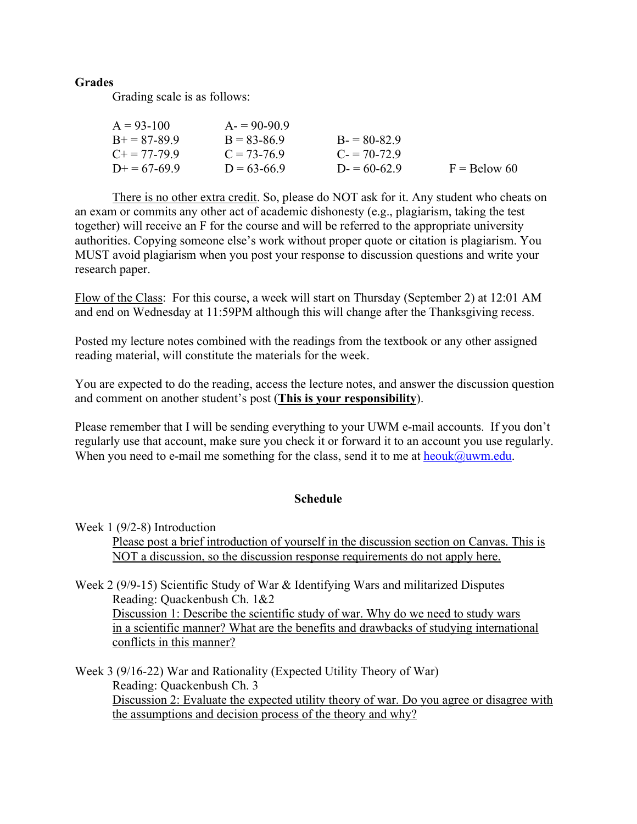# **Grades**

Grading scale is as follows:

| $A = 93-100$          | $A = 90-90.9$   |               |                |
|-----------------------|-----------------|---------------|----------------|
| $B+=87-89.9$          | $B = 83 - 86.9$ | $B = 80-82.9$ |                |
| $C_{\pm} = 77 - 79.9$ | $C = 73-76.9$   | $C = 70-72.9$ |                |
| $D+=67-69.9$          | $D = 63-66.9$   | $D = 60-62.9$ | $F =$ Below 60 |

There is no other extra credit. So, please do NOT ask for it. Any student who cheats on an exam or commits any other act of academic dishonesty (e.g., plagiarism, taking the test together) will receive an F for the course and will be referred to the appropriate university authorities. Copying someone else's work without proper quote or citation is plagiarism. You MUST avoid plagiarism when you post your response to discussion questions and write your research paper.

Flow of the Class: For this course, a week will start on Thursday (September 2) at 12:01 AM and end on Wednesday at 11:59PM although this will change after the Thanksgiving recess.

Posted my lecture notes combined with the readings from the textbook or any other assigned reading material, will constitute the materials for the week.

You are expected to do the reading, access the lecture notes, and answer the discussion question and comment on another student's post (**This is your responsibility**).

Please remember that I will be sending everything to your UWM e-mail accounts. If you don't regularly use that account, make sure you check it or forward it to an account you use regularly. When you need to e-mail me something for the class, send it to me at  $heouk@uum.edu$ .

# **Schedule**

Week 1 (9/2-8) Introduction

Please post a brief introduction of yourself in the discussion section on Canvas. This is NOT a discussion, so the discussion response requirements do not apply here.

Week 2 (9/9-15) Scientific Study of War & Identifying Wars and militarized Disputes Reading: Quackenbush Ch. 1&2 Discussion 1: Describe the scientific study of war. Why do we need to study wars in a scientific manner? What are the benefits and drawbacks of studying international conflicts in this manner?

Week 3 (9/16-22) War and Rationality (Expected Utility Theory of War) Reading: Quackenbush Ch. 3 Discussion 2: Evaluate the expected utility theory of war. Do you agree or disagree with the assumptions and decision process of the theory and why?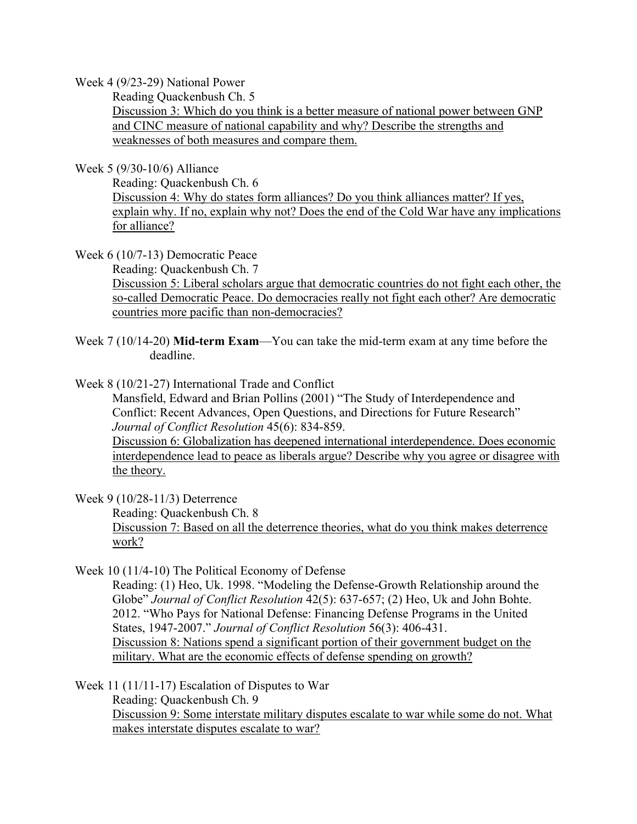Week 4 (9/23-29) National Power

Reading Quackenbush Ch. 5 Discussion 3: Which do you think is a better measure of national power between GNP and CINC measure of national capability and why? Describe the strengths and weaknesses of both measures and compare them.

Week 5 (9/30-10/6) Alliance

Reading: Quackenbush Ch. 6 Discussion 4: Why do states form alliances? Do you think alliances matter? If yes, explain why. If no, explain why not? Does the end of the Cold War have any implications for alliance?

Week 6 (10/7-13) Democratic Peace

Reading: Quackenbush Ch. 7

Discussion 5: Liberal scholars argue that democratic countries do not fight each other, the so-called Democratic Peace. Do democracies really not fight each other? Are democratic countries more pacific than non-democracies?

- Week 7 (10/14-20) **Mid-term Exam**—You can take the mid-term exam at any time before the deadline.
- Week 8 (10/21-27) International Trade and Conflict

 Mansfield, Edward and Brian Pollins (2001) "The Study of Interdependence and Conflict: Recent Advances, Open Questions, and Directions for Future Research" *Journal of Conflict Resolution* 45(6): 834-859. Discussion 6: Globalization has deepened international interdependence. Does economic interdependence lead to peace as liberals argue? Describe why you agree or disagree with the theory.

Week 9 (10/28-11/3) Deterrence

Reading: Quackenbush Ch. 8 Discussion 7: Based on all the deterrence theories, what do you think makes deterrence work?

Week 10 (11/4-10) The Political Economy of Defense

Reading: (1) Heo, Uk. 1998. "Modeling the Defense-Growth Relationship around the Globe" *Journal of Conflict Resolution* 42(5): 637-657; (2) Heo, Uk and John Bohte. 2012. "Who Pays for National Defense: Financing Defense Programs in the United States, 1947-2007." *Journal of Conflict Resolution* 56(3): 406-431. Discussion 8: Nations spend a significant portion of their government budget on the military. What are the economic effects of defense spending on growth?

Week 11 (11/11-17) Escalation of Disputes to War Reading: Quackenbush Ch. 9 Discussion 9: Some interstate military disputes escalate to war while some do not. What makes interstate disputes escalate to war?